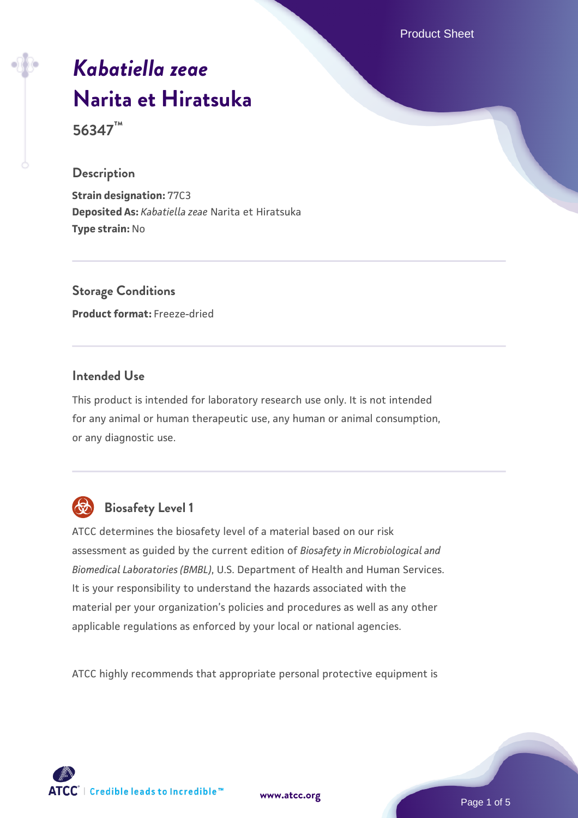Product Sheet

# *[Kabatiella zeae](https://www.atcc.org/products/56347)* **[Narita et Hiratsuka](https://www.atcc.org/products/56347)**

**56347™**

#### **Description**

**Strain designation:** 77C3 **Deposited As:** *Kabatiella zeae* Narita et Hiratsuka **Type strain:** No

**Storage Conditions Product format:** Freeze-dried

## **Intended Use**

This product is intended for laboratory research use only. It is not intended for any animal or human therapeutic use, any human or animal consumption, or any diagnostic use.



# **Biosafety Level 1**

ATCC determines the biosafety level of a material based on our risk assessment as guided by the current edition of *Biosafety in Microbiological and Biomedical Laboratories (BMBL)*, U.S. Department of Health and Human Services. It is your responsibility to understand the hazards associated with the material per your organization's policies and procedures as well as any other applicable regulations as enforced by your local or national agencies.

ATCC highly recommends that appropriate personal protective equipment is

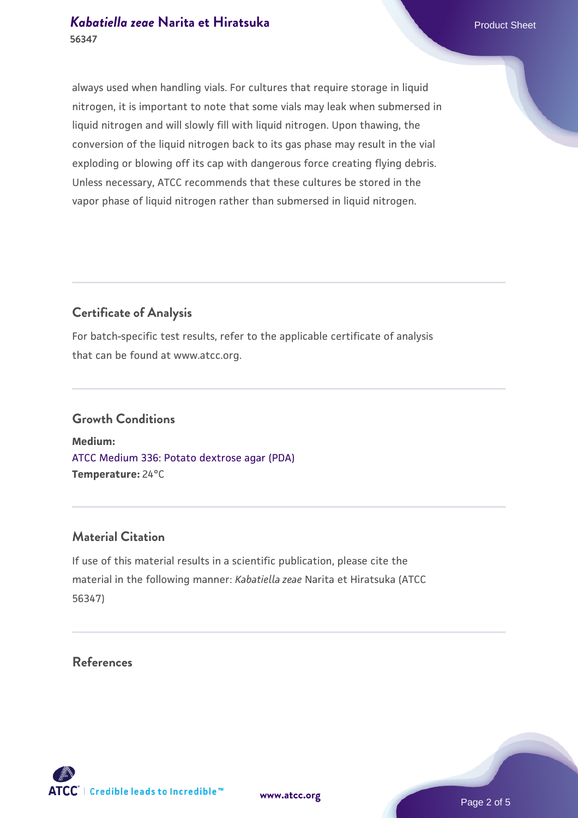always used when handling vials. For cultures that require storage in liquid nitrogen, it is important to note that some vials may leak when submersed in liquid nitrogen and will slowly fill with liquid nitrogen. Upon thawing, the conversion of the liquid nitrogen back to its gas phase may result in the vial exploding or blowing off its cap with dangerous force creating flying debris. Unless necessary, ATCC recommends that these cultures be stored in the vapor phase of liquid nitrogen rather than submersed in liquid nitrogen.

## **Certificate of Analysis**

For batch-specific test results, refer to the applicable certificate of analysis that can be found at www.atcc.org.

#### **Growth Conditions**

**Medium:**  [ATCC Medium 336: Potato dextrose agar \(PDA\)](https://www.atcc.org/-/media/product-assets/documents/microbial-media-formulations/3/3/6/atcc-medium-336.pdf?rev=d9160ad44d934cd8b65175461abbf3b9) **Temperature:** 24°C

## **Material Citation**

If use of this material results in a scientific publication, please cite the material in the following manner: *Kabatiella zeae* Narita et Hiratsuka (ATCC 56347)

#### **References**

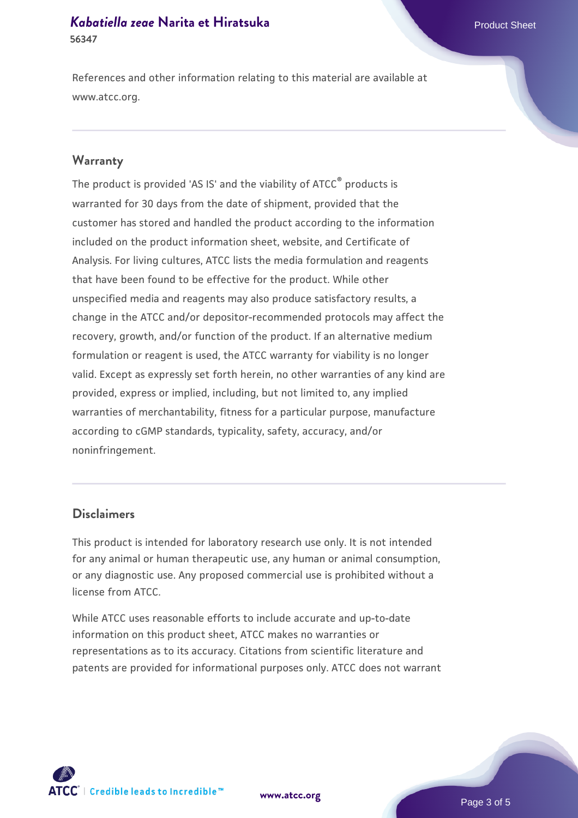References and other information relating to this material are available at www.atcc.org.

#### **Warranty**

The product is provided 'AS IS' and the viability of ATCC® products is warranted for 30 days from the date of shipment, provided that the customer has stored and handled the product according to the information included on the product information sheet, website, and Certificate of Analysis. For living cultures, ATCC lists the media formulation and reagents that have been found to be effective for the product. While other unspecified media and reagents may also produce satisfactory results, a change in the ATCC and/or depositor-recommended protocols may affect the recovery, growth, and/or function of the product. If an alternative medium formulation or reagent is used, the ATCC warranty for viability is no longer valid. Except as expressly set forth herein, no other warranties of any kind are provided, express or implied, including, but not limited to, any implied warranties of merchantability, fitness for a particular purpose, manufacture according to cGMP standards, typicality, safety, accuracy, and/or noninfringement.

#### **Disclaimers**

This product is intended for laboratory research use only. It is not intended for any animal or human therapeutic use, any human or animal consumption, or any diagnostic use. Any proposed commercial use is prohibited without a license from ATCC.

While ATCC uses reasonable efforts to include accurate and up-to-date information on this product sheet, ATCC makes no warranties or representations as to its accuracy. Citations from scientific literature and patents are provided for informational purposes only. ATCC does not warrant



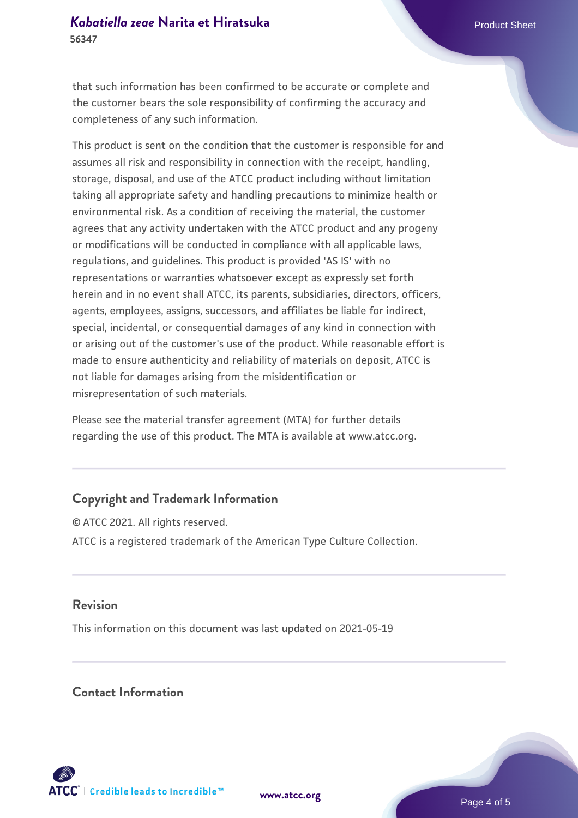that such information has been confirmed to be accurate or complete and the customer bears the sole responsibility of confirming the accuracy and completeness of any such information.

This product is sent on the condition that the customer is responsible for and assumes all risk and responsibility in connection with the receipt, handling, storage, disposal, and use of the ATCC product including without limitation taking all appropriate safety and handling precautions to minimize health or environmental risk. As a condition of receiving the material, the customer agrees that any activity undertaken with the ATCC product and any progeny or modifications will be conducted in compliance with all applicable laws, regulations, and guidelines. This product is provided 'AS IS' with no representations or warranties whatsoever except as expressly set forth herein and in no event shall ATCC, its parents, subsidiaries, directors, officers, agents, employees, assigns, successors, and affiliates be liable for indirect, special, incidental, or consequential damages of any kind in connection with or arising out of the customer's use of the product. While reasonable effort is made to ensure authenticity and reliability of materials on deposit, ATCC is not liable for damages arising from the misidentification or misrepresentation of such materials.

Please see the material transfer agreement (MTA) for further details regarding the use of this product. The MTA is available at www.atcc.org.

# **Copyright and Trademark Information**

© ATCC 2021. All rights reserved. ATCC is a registered trademark of the American Type Culture Collection.

#### **Revision**

This information on this document was last updated on 2021-05-19

#### **Contact Information**